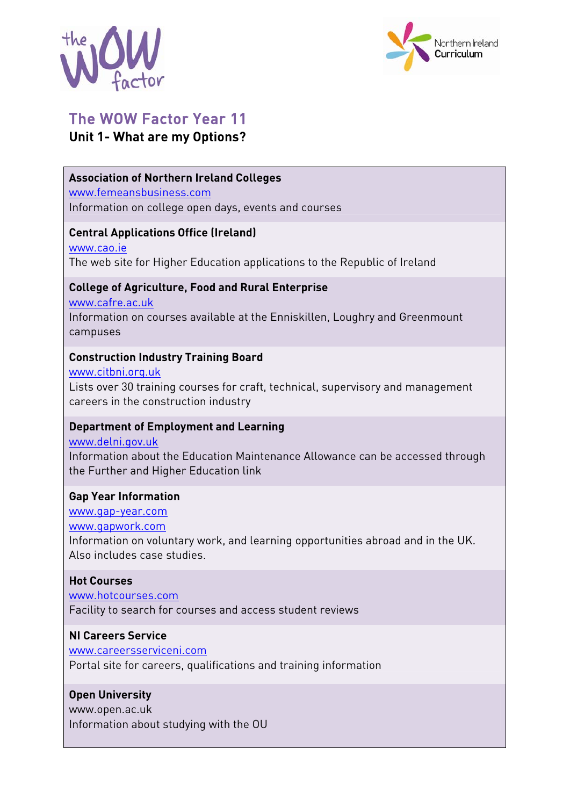



# The WOW Factor Year 11 **Unit 1- What are my Options?**

# **Association of Northern Ireland Colleges**

www.femeansbusiness.com Information on college open days, events and courses

## **Central Applications Office (Ireland)**

www.cao.ie The web site for Higher Education applications to the Republic of Ireland

## **College of Agriculture, Food and Rural Enterprise**

www.cafre.ac.uk

Information on courses available at the Enniskillen, Loughry and Greenmount campuses

# **Construction Industry Training Board**

www.citbni.org.uk Lists over 30 training courses for craft, technical, supervisory and management careers in the construction industry

# **Department of Employment and Learning**

www.delni.gov.uk Information about the Education Maintenance Allowance can be accessed through the Further and Higher Education link

# **Gap Year Information**

www.gap-year.com www.gapwork.com Information on voluntary work, and learning opportunities abroad and in the UK. Also includes case studies.

# **Hot Courses**

www.hotcourses.com Facility to search for courses and access student reviews

## **NI Careers Service**

www.careersserviceni.com Portal site for careers, qualifications and training information

## **Open University**

www.open.ac.uk Information about studying with the OU